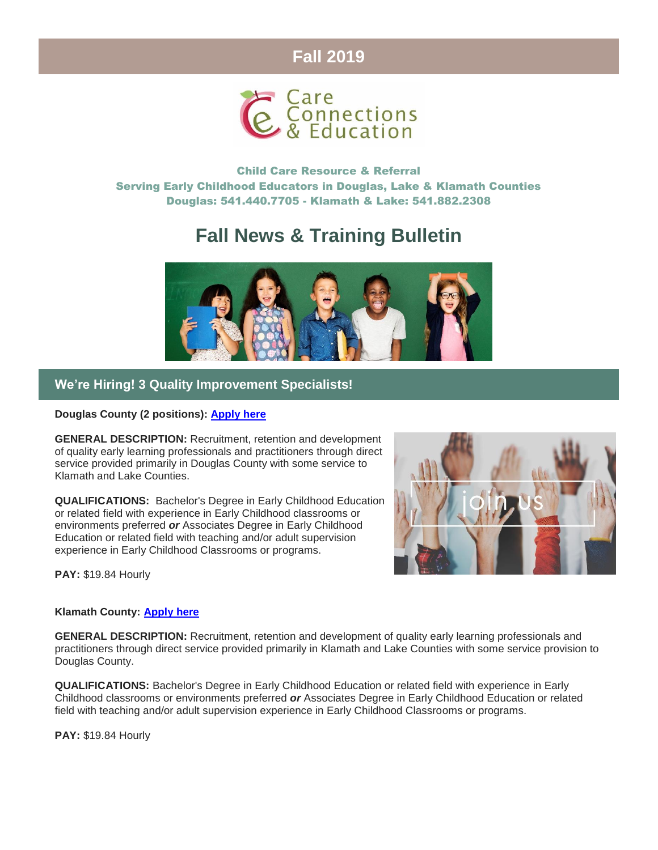## **Fall 2019**



Child Care Resource & Referral Serving Early Childhood Educators in Douglas, Lake & Klamath Counties Douglas: 541.440.7705 - Klamath & Lake: 541.882.2308

# **Fall News & Training Bulletin**



### **We're Hiring! 3 Quality Improvement Specialists!**

#### **Douglas County (2 positions): [Apply here](https://www.governmentjobs.com/careers/umpquacc/jobs/2517182/quality-improvement-specialist?page=2&pagetype=jobOpportunitiesJobs)**

**GENERAL DESCRIPTION:** Recruitment, retention and development of quality early learning professionals and practitioners through direct service provided primarily in Douglas County with some service to Klamath and Lake Counties.

**QUALIFICATIONS:** Bachelor's Degree in Early Childhood Education or related field with experience in Early Childhood classrooms or environments preferred *or* Associates Degree in Early Childhood Education or related field with teaching and/or adult supervision experience in Early Childhood Classrooms or programs.

**PAY:** \$19.84 Hourly

#### **Klamath County: [Apply here](https://www.governmentjobs.com/careers/umpquacc/jobs/2517244/quality-improvement-specialist-klamath-lake-counties?page=2&pagetype=jobOpportunitiesJobs)**

**GENERAL DESCRIPTION:** Recruitment, retention and development of quality early learning professionals and practitioners through direct service provided primarily in Klamath and Lake Counties with some service provision to Douglas County.

**QUALIFICATIONS:** Bachelor's Degree in Early Childhood Education or related field with experience in Early Childhood classrooms or environments preferred *or* Associates Degree in Early Childhood Education or related field with teaching and/or adult supervision experience in Early Childhood Classrooms or programs.

**PAY:** \$19.84 Hourly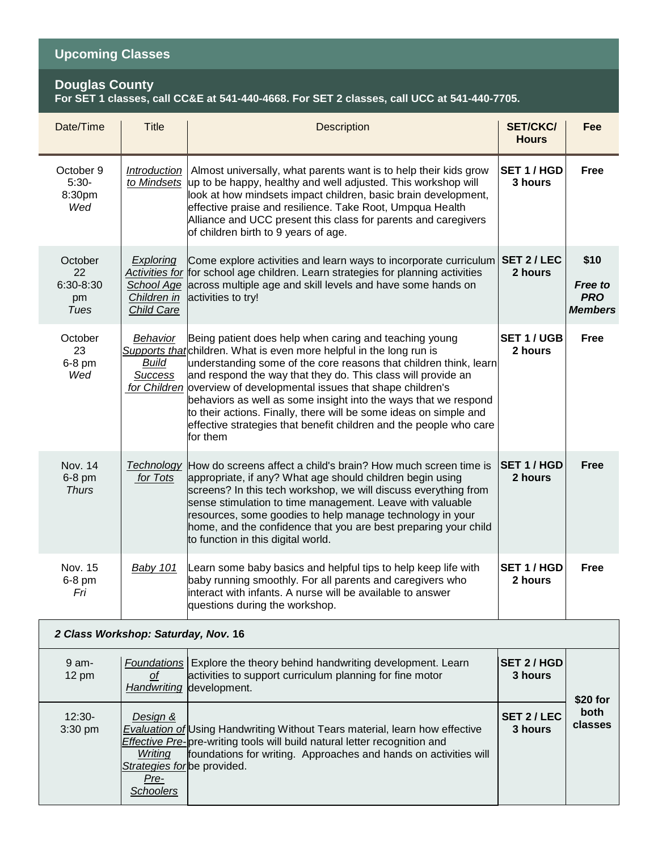### **Upcoming Classes**

#### **Douglas County**

#### **For SET 1 classes, call CC&E at 541-440-4668. For SET 2 classes, call UCC at 541-440-7705.**

| Date/Time                                | <b>Title</b>                                                                   | Description                                                                                                                                                                                                                                                                                                                                                                                                                                                                                                                                                          | <b>SET/CKC/</b><br><b>Hours</b> | Fee                                                    |  |  |  |
|------------------------------------------|--------------------------------------------------------------------------------|----------------------------------------------------------------------------------------------------------------------------------------------------------------------------------------------------------------------------------------------------------------------------------------------------------------------------------------------------------------------------------------------------------------------------------------------------------------------------------------------------------------------------------------------------------------------|---------------------------------|--------------------------------------------------------|--|--|--|
| October 9<br>$5:30-$<br>8:30pm<br>Wed    | Introduction<br>to Mindsets                                                    | Almost universally, what parents want is to help their kids grow<br>up to be happy, healthy and well adjusted. This workshop will<br>look at how mindsets impact children, basic brain development,<br>effective praise and resilience. Take Root, Umpqua Health<br>Alliance and UCC present this class for parents and caregivers<br>of children birth to 9 years of age.                                                                                                                                                                                           | SET 1 / HGD<br>3 hours          | <b>Free</b>                                            |  |  |  |
| October<br>22<br>6:30-8:30<br>pm<br>Tues | <b>Exploring</b><br>School Age<br>Children in<br><b>Child Care</b>             | Come explore activities and learn ways to incorporate curriculum<br>Activities for for school age children. Learn strategies for planning activities<br>across multiple age and skill levels and have some hands on<br>activities to try!                                                                                                                                                                                                                                                                                                                            | SET 2/LEC<br>2 hours            | \$10<br><b>Free to</b><br><b>PRO</b><br><b>Members</b> |  |  |  |
| October<br>23<br>6-8 pm<br>Wed           | <b>Behavior</b><br><b>Build</b><br><b>Success</b>                              | Being patient does help when caring and teaching young<br>Supports that children. What is even more helpful in the long run is<br>understanding some of the core reasons that children think, learn<br>and respond the way that they do. This class will provide an<br>for Children overview of developmental issues that shape children's<br>behaviors as well as some insight into the ways that we respond<br>to their actions. Finally, there will be some ideas on simple and<br>effective strategies that benefit children and the people who care<br>for them | <b>SET 1/UGB</b><br>2 hours     | Free                                                   |  |  |  |
| Nov. 14<br>6-8 pm<br><b>Thurs</b>        | <b>Technology</b><br>for Tots                                                  | How do screens affect a child's brain? How much screen time is<br>appropriate, if any? What age should children begin using<br>screens? In this tech workshop, we will discuss everything from<br>sense stimulation to time management. Leave with valuable<br>resources, some goodies to help manage technology in your<br>home, and the confidence that you are best preparing your child<br>to function in this digital world.                                                                                                                                    | <b>SET 1/HGD</b><br>2 hours     | <b>Free</b>                                            |  |  |  |
| Nov. 15<br>6-8 pm<br>Fri                 | <b>Baby 101</b>                                                                | Learn some baby basics and helpful tips to help keep life with<br>baby running smoothly. For all parents and caregivers who<br>interact with infants. A nurse will be available to answer<br>questions during the workshop.                                                                                                                                                                                                                                                                                                                                          | SET 1/HGD<br>2 hours            | Free                                                   |  |  |  |
| 2 Class Workshop: Saturday, Nov. 16      |                                                                                |                                                                                                                                                                                                                                                                                                                                                                                                                                                                                                                                                                      |                                 |                                                        |  |  |  |
| $9$ am-<br>$12 \text{ pm}$               | Οf<br><b>Handwriting</b>                                                       | <b>Foundations</b> Explore the theory behind handwriting development. Learn<br>activities to support curriculum planning for fine motor<br>development.                                                                                                                                                                                                                                                                                                                                                                                                              | <b>SET 2/HGD</b><br>3 hours     | \$20 for                                               |  |  |  |
| 12:30-<br>3:30 pm                        | Design &<br>Writing<br>Strategies for be provided.<br>Pre-<br><b>Schoolers</b> | <b>Evaluation of Using Handwriting Without Tears material, learn how effective</b><br>Effective Pre-ore-writing tools will build natural letter recognition and<br>foundations for writing. Approaches and hands on activities will                                                                                                                                                                                                                                                                                                                                  | SET 2 / LEC<br>3 hours          | both<br>classes                                        |  |  |  |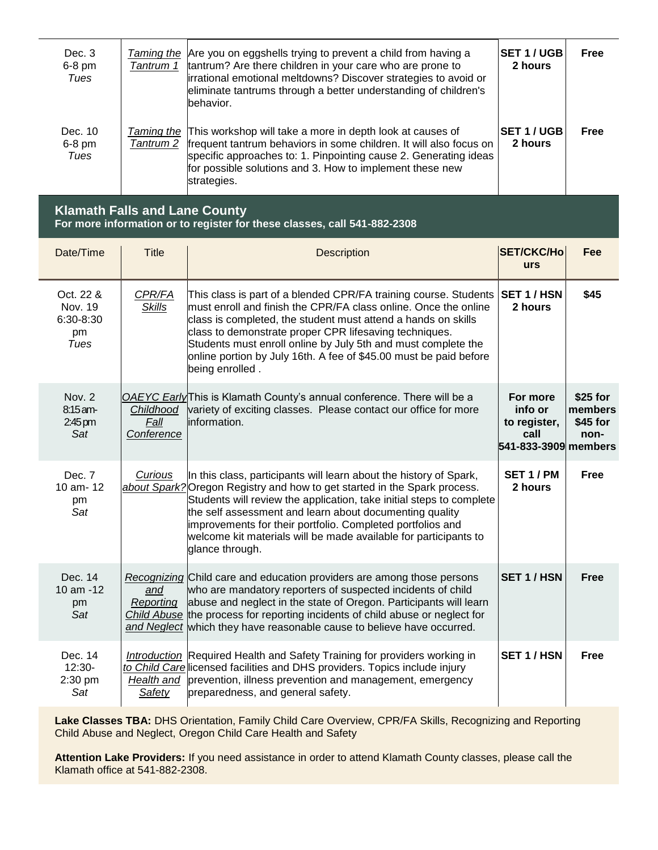| Dec. 3<br>$6-8$ pm<br>Tues  | Taming the<br>Tantrum 1 | Are you on eggshells trying to prevent a child from having a<br>tantrum? Are there children in your care who are prone to<br>irrational emotional meltdowns? Discover strategies to avoid or<br>eliminate tantrums through a better understanding of children's<br>behavior.                        | <b>SET 1/UGB</b><br>2 hours | <b>Free</b> |
|-----------------------------|-------------------------|-----------------------------------------------------------------------------------------------------------------------------------------------------------------------------------------------------------------------------------------------------------------------------------------------------|-----------------------------|-------------|
| Dec. 10<br>$6-8$ pm<br>Tues |                         | Taming the This workshop will take a more in depth look at causes of<br>Tantrum 2 frequent tantrum behaviors in some children. It will also focus on<br>specific approaches to: 1. Pinpointing cause 2. Generating ideas<br>for possible solutions and 3. How to implement these new<br>strategies. | <b>SET 1/UGB</b><br>2 hours | <b>Free</b> |

#### **Klamath Falls and Lane County For more information or to register for these classes, call 541-882-2308**

| Date/Time                                        | <b>Title</b>                    | Description                                                                                                                                                                                                                                                                                                                                                                                                                             | <b>SET/CKC/Ho</b><br><b>urs</b>                                     | Fee                                       |
|--------------------------------------------------|---------------------------------|-----------------------------------------------------------------------------------------------------------------------------------------------------------------------------------------------------------------------------------------------------------------------------------------------------------------------------------------------------------------------------------------------------------------------------------------|---------------------------------------------------------------------|-------------------------------------------|
| Oct. 22 &<br>Nov. 19<br>6:30-8:30<br>pm<br>Tues  | CPR/FA<br><b>Skills</b>         | This class is part of a blended CPR/FA training course. Students<br>must enroll and finish the CPR/FA class online. Once the online<br>class is completed, the student must attend a hands on skills<br>class to demonstrate proper CPR lifesaving techniques.<br>Students must enroll online by July 5th and must complete the<br>online portion by July 16th. A fee of \$45.00 must be paid before<br>being enrolled.                 | SET 1/HSN<br>2 hours                                                | \$45                                      |
| Nov. 2<br>$8:15$ am-<br>$2:45 \text{ pm}$<br>Sat | Childhood<br>Fall<br>Conference | OAEYC Early This is Klamath County's annual conference. There will be a<br>variety of exciting classes. Please contact our office for more<br>information.                                                                                                                                                                                                                                                                              | For more<br>info or<br>to register,<br>call<br>541-833-3909 members | $$25$ for<br>members<br>$$45$ for<br>non- |
| Dec. 7<br>10 am - 12<br>pm<br>Sat                | Curious                         | In this class, participants will learn about the history of Spark,<br>about Spark? Oregon Registry and how to get started in the Spark process.<br>Students will review the application, take initial steps to complete<br>the self assessment and learn about documenting quality<br>improvements for their portfolio. Completed portfolios and<br>welcome kit materials will be made available for participants to<br>glance through. | SET 1 / PM<br>2 hours                                               | <b>Free</b>                               |
| Dec. 14<br>10 am -12<br>pm<br>Sat                | and<br>Reporting                | Recognizing Child care and education providers are among those persons<br>who are mandatory reporters of suspected incidents of child<br>abuse and neglect in the state of Oregon. Participants will learn<br>Child Abuse the process for reporting incidents of child abuse or neglect for<br>and Neglect which they have reasonable cause to believe have occurred.                                                                   | <b>SET 1/HSN</b>                                                    | <b>Free</b>                               |
| Dec. 14<br>$12:30-$<br>2:30 pm<br>Sat            | Safety                          | Introduction Required Health and Safety Training for providers working in<br>to Child Care licensed facilities and DHS providers. Topics include injury<br>Health and prevention, illness prevention and management, emergency<br>preparedness, and general safety.                                                                                                                                                                     | <b>SET 1/HSN</b>                                                    | <b>Free</b>                               |

**Lake Classes TBA:** DHS Orientation, Family Child Care Overview, CPR/FA Skills, Recognizing and Reporting Child Abuse and Neglect, Oregon Child Care Health and Safety

**Attention Lake Providers:** If you need assistance in order to attend Klamath County classes, please call the Klamath office at 541-882-2308.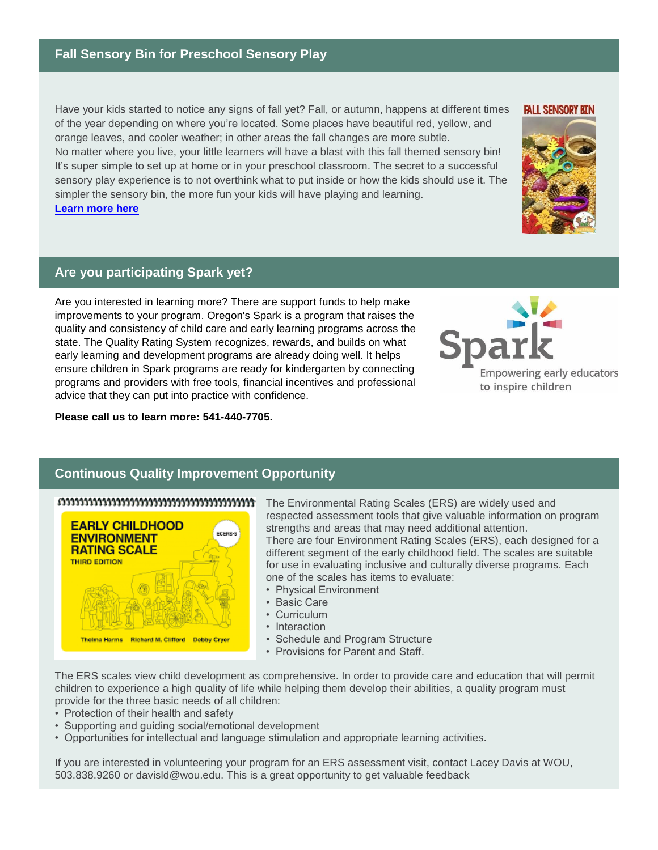### **Fall Sensory Bin for Preschool Sensory Play**

Have your kids started to notice any signs of fall yet? Fall, or autumn, happens at different times of the year depending on where you're located. Some places have beautiful red, yellow, and orange leaves, and cooler weather; in other areas the fall changes are more subtle. No matter where you live, your little learners will have a blast with this fall themed sensory bin! It's super simple to set up at home or in your preschool classroom. The secret to a successful sensory play experience is to not overthink what to put inside or how the kids should use it. The simpler the sensory bin, the more fun your kids will have playing and learning. **[Learn more here](http://www.pre-kpages.com/fall-sensory-bin-for-preschool-sensory-play/)**

### **Are you participating Spark yet?**

Are you interested in learning more? There are support funds to help make improvements to your program. Oregon's Spark is a program that raises the quality and consistency of child care and early learning programs across the state. The Quality Rating System recognizes, rewards, and builds on what early learning and development programs are already doing well. It helps ensure children in Spark programs are ready for kindergarten by connecting programs and providers with free tools, financial incentives and professional advice that they can put into practice with confidence.

**Please call us to learn more: 541-440-7705.**



**FALL SENSORY BIN** 



### **Continuous Quality Improvement Opportunity**

#### 



The Environmental Rating Scales (ERS) are widely used and respected assessment tools that give valuable information on program strengths and areas that may need additional attention. There are four Environment Rating Scales (ERS), each designed for a different segment of the early childhood field. The scales are suitable for use in evaluating inclusive and culturally diverse programs. Each one of the scales has items to evaluate:

- Physical Environment
- Basic Care
- Curriculum
- Interaction
- Schedule and Program Structure
- Provisions for Parent and Staff.

The ERS scales view child development as comprehensive. In order to provide care and education that will permit children to experience a high quality of life while helping them develop their abilities, a quality program must provide for the three basic needs of all children:

- Protection of their health and safety
- Supporting and guiding social/emotional development
- Opportunities for intellectual and language stimulation and appropriate learning activities.

If you are interested in volunteering your program for an ERS assessment visit, contact Lacey Davis at WOU, 503.838.9260 or davisld@wou.edu. This is a great opportunity to get valuable feedback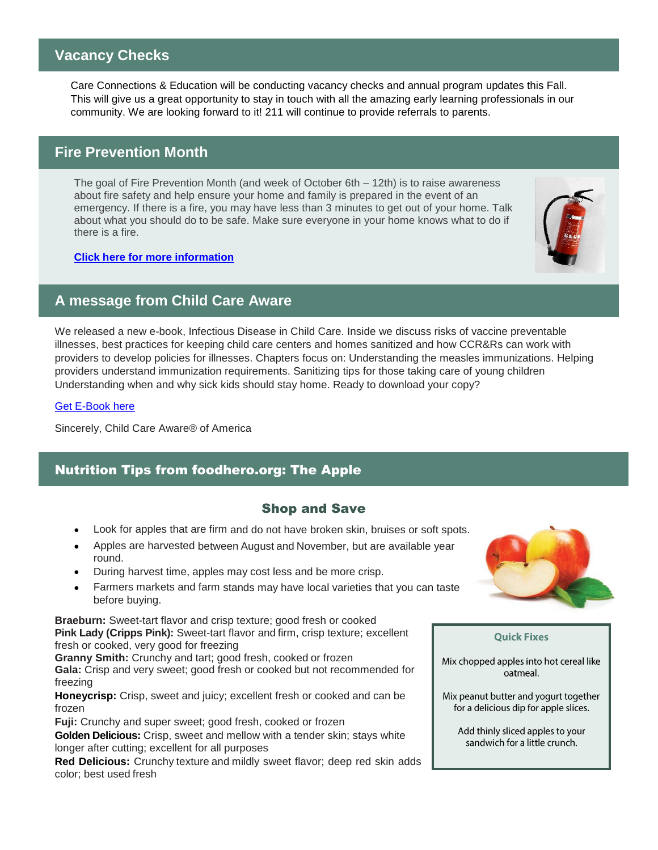### **Vacancy Checks**

Care Connections & Education will be conducting vacancy checks and annual program updates this Fall. This will give us a great opportunity to stay in touch with all the amazing early learning professionals in our community. We are looking forward to it! 211 will continue to provide referrals to parents.

### **Fire Prevention Month**

The goal of Fire Prevention Month (and week of October 6th – 12th) is to raise awareness about fire safety and help ensure your home and family is prepared in the event of an emergency. If there is a fire, you may have less than 3 minutes to get out of your home. Talk about what you should do to be safe. Make sure everyone in your home knows what to do if there is a fire.

#### **[Click here for more information](https://www.firstalert.com/community/safety-corner/fire-prevention-month/)**

### **A message from Child Care Aware**

We released a new e-book, Infectious Disease in Child Care. Inside we discuss risks of vaccine preventable illnesses, best practices for keeping child care centers and homes sanitized and how CCR&Rs can work with providers to develop policies for illnesses. Chapters focus on: Understanding the measles immunizations. Helping providers understand immunization requirements. Sanitizing tips for those taking care of young children Understanding when and why sick kids should stay home. Ready to download your copy?

#### [Get E-Book here](info.childcareaware.org/infectious-disease-in-child-care-e-book)

Sincerely, Child Care Aware® of America

### Nutrition Tips from foodhero.org: The Apple

### Shop and Save

- Look for apples that are firm and do not have broken skin, bruises or soft spots.
- Apples are harvested between August and November, but are available year round.
- During harvest time, apples may cost less and be more crisp.
- Farmers markets and farm stands may have local varieties that you can taste before buying.

**Braeburn:** Sweet-tart flavor and crisp texture; good fresh or cooked **Pink Lady (Cripps Pink):** Sweet-tart flavor and firm, crisp texture; excellent fresh or cooked, very good for freezing

**Granny Smith:** Crunchy and tart; good fresh, cooked or frozen **Gala:** Crisp and very sweet; good fresh or cooked but not recommended for freezing

**Honeycrisp:** Crisp, sweet and juicy; excellent fresh or cooked and can be frozen

**Fuji:** Crunchy and super sweet; good fresh, cooked or frozen

**Golden Delicious:** Crisp, sweet and mellow with a tender skin; stays white longer after cutting; excellent for all purposes

**Red Delicious:** Crunchy texture and mildly sweet flavor; deep red skin adds color; best used fresh



#### **Quick Fixes**

Mix chopped apples into hot cereal like oatmeal

Mix peanut butter and yogurt together for a delicious dip for apple slices.

Add thinly sliced apples to your sandwich for a little crunch.